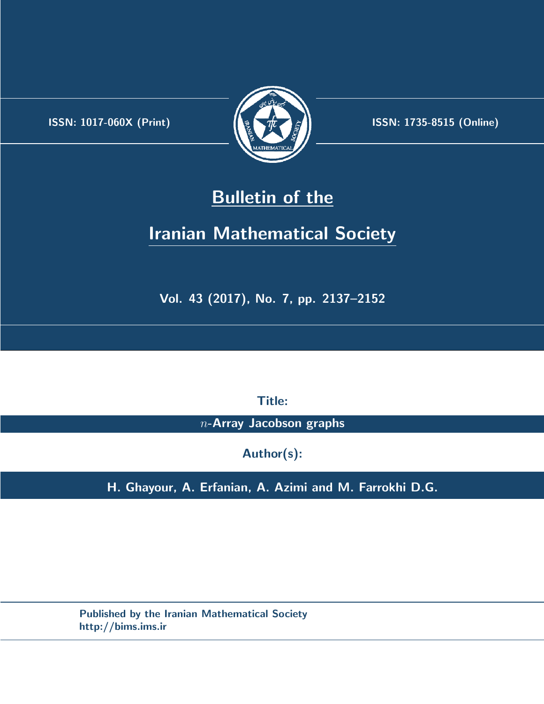.



**ISSN:** 1017-060X (Print) **ISSN:** 1735-8515 (Online)

# **Bulletin of the**

# **Iranian Mathematical Society**

**Vol. 43 (2017), No. 7, pp. 2137–2152**

**Title:**

*n***-Array Jacobson graphs**

**Author(s):**

**H. Ghayour, A. Erfanian, A. Azimi and M. Farrokhi D.G.**

**Published by the Iranian Mathematical Society http://bims.ims.ir**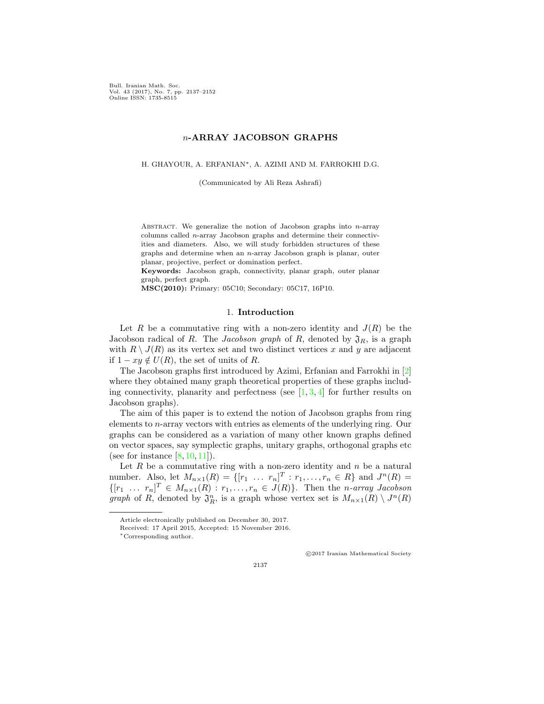Bull. Iranian Math. Soc. Vol. 43 (2017), No. 7, pp. 2137–2152 Online ISSN: 1735-8515

## *n***-ARRAY JACOBSON GRAPHS**

H. GHAYOUR, A. ERFANIAN*∗*, A. AZIMI AND M. FARROKHI D.G.

(Communicated by Ali Reza Ashrafi)

Abstract. We generalize the notion of Jacobson graphs into *n*-array columns called *n*-array Jacobson graphs and determine their connectivities and diameters. Also, we will study forbidden structures of these graphs and determine when an *n*-array Jacobson graph is planar, outer planar, projective, perfect or domination perfect.

**Keywords:** Jacobson graph, connectivity, planar graph, outer planar graph, perfect graph.

**MSC(2010):** Primary: 05C10; Secondary: 05C17, 16P10.

### 1. **Introduction**

Let *R* be a commutative ring with a non-zero identity and  $J(R)$  be the Jacobson radical of *R*. The *Jacobson graph* of *R*, denoted by  $\mathfrak{J}_R$ , is a graph with  $R \setminus J(R)$  as its vertex set and two distinct vertices x and y are adjacent if  $1 - xy \notin U(R)$ , the set of units of *R*.

The Jacobson graphs first introduced by Azimi, Erfanian and Farrokhi in [\[2](#page-16-0)] where they obtained many graph theoretical properties of these graphs includingconnectivity, planarity and perfectness (see  $[1, 3, 4]$  $[1, 3, 4]$  $[1, 3, 4]$  $[1, 3, 4]$  $[1, 3, 4]$  $[1, 3, 4]$  for further results on Jacobson graphs).

The aim of this paper is to extend the notion of Jacobson graphs from ring elements to *n*-array vectors with entries as elements of the underlying ring. Our graphs can be considered as a variation of many other known graphs defined on vector spaces, say symplectic graphs, unitary graphs, orthogonal graphs etc (seefor instance  $[8, 10, 11]$  $[8, 10, 11]$  $[8, 10, 11]$  $[8, 10, 11]$  $[8, 10, 11]$  $[8, 10, 11]$ ).

Let  $R$  be a commutative ring with a non-zero identity and  $n$  be a natural number. Also, let  $M_{n \times 1}(R) = \{ [r_1 \dots r_n]^T : r_1, \dots, r_n \in R \}$  and  $J^n(R) =$  $\{ [r_1 \ldots r_n]^T \in M_{n \times 1}(R) : r_1, \ldots, r_n \in J(R) \}$ . Then the *n*-array Jacobson *graph* of *R*, denoted by  $\mathfrak{J}_R^n$ , is a graph whose vertex set is  $M_{n\times1}(R) \setminus J^n(R)$ 

*⃝*c 2017 Iranian Mathematical Society

Article electronically published on December 30, 2017.

Received: 17 April 2015, Accepted: 15 November 2016.

*<sup>∗</sup>*Corresponding author.

<sup>2137</sup>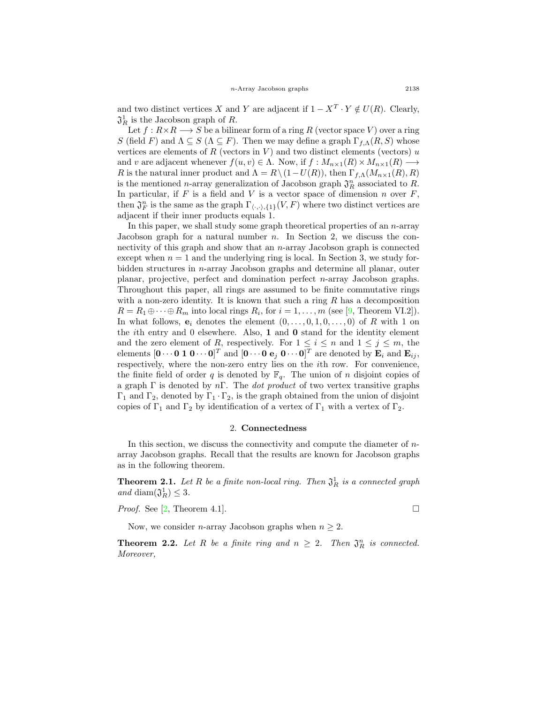and two distinct vertices *X* and *Y* are adjacent if  $1 - X^T \cdot Y \notin U(R)$ . Clearly,  $\mathfrak{J}_R^1$  is the Jacobson graph of *R*.

Let  $f: R \times R \longrightarrow S$  be a bilinear form of a ring R (vector space V) over a ring *S* (field *F*) and  $\Lambda \subseteq S$  ( $\Lambda \subseteq F$ ). Then we may define a graph  $\Gamma_{f,\Lambda}(R,S)$  whose vertices are elements of  $R$  (vectors in  $V$ ) and two distinct elements (vectors)  $u$ and *v* are adjacent whenever  $f(u, v) \in \Lambda$ . Now, if  $f: M_{n \times 1}(R) \times M_{n \times 1}(R) \longrightarrow$ *R* is the natural inner product and  $\Lambda = R \setminus (1 - U(R))$ , then  $\Gamma_{f,\Lambda}(M_{n \times 1}(R), R)$ is the mentioned *n*-array generalization of Jacobson graph  $\mathfrak{J}_R^n$  associated to *R*. In particular, if  $F$  is a field and  $V$  is a vector space of dimension  $n$  over  $F$ , then  $\mathfrak{J}_F^n$  is the same as the graph  $\Gamma_{\langle \cdot, \cdot \rangle, \{1\}}(V, F)$  where two distinct vertices are adjacent if their inner products equals 1.

In this paper, we shall study some graph theoretical properties of an *n*-array Jacobson graph for a natural number *n*. In Section 2, we discuss the connectivity of this graph and show that an *n*-array Jacobson graph is connected except when  $n = 1$  and the underlying ring is local. In Section 3, we study forbidden structures in *n*-array Jacobson graphs and determine all planar, outer planar, projective, perfect and domination perfect *n*-array Jacobson graphs. Throughout this paper, all rings are assumed to be finite commutative rings with a non-zero identity. It is known that such a ring *R* has a decomposition  $R = R_1 \oplus \cdots \oplus R_m$  $R = R_1 \oplus \cdots \oplus R_m$  $R = R_1 \oplus \cdots \oplus R_m$  into local rings  $R_i$ , for  $i = 1, \ldots, m$  (see [[9,](#page-16-6) Theorem VI.2]). In what follows,  $e_i$  denotes the element  $(0, \ldots, 0, 1, 0, \ldots, 0)$  of *R* with 1 on the *i*th entry and 0 elsewhere. Also, **1** and **0** stand for the identity element and the zero element of *R*, respectively. For  $1 \leq i \leq n$  and  $1 \leq j \leq m$ , the elements  $[\mathbf{0} \cdots \mathbf{0} \mathbf{1} \mathbf{0} \cdots \mathbf{0}]^T$  and  $[\mathbf{0} \cdots \mathbf{0} \mathbf{e}_j \mathbf{0} \cdots \mathbf{0}]^T$  are denoted by  $\mathbf{E}_i$  and  $\mathbf{E}_{ij}$ , respectively, where the non-zero entry lies on the *i*th row. For convenience, the finite field of order  $q$  is denoted by  $\mathbb{F}_q$ . The union of  $n$  disjoint copies of a graph Γ is denoted by *n*Γ. The *dot product* of two vertex transitive graphs  $\Gamma_1$  and  $\Gamma_2$ , denoted by  $\Gamma_1 \cdot \Gamma_2$ , is the graph obtained from the union of disjoint copies of  $\Gamma_1$  and  $\Gamma_2$  by identification of a vertex of  $\Gamma_1$  with a vertex of  $\Gamma_2$ .

#### 2. **Connectedness**

In this section, we discuss the connectivity and compute the diameter of *n*array Jacobson graphs. Recall that the results are known for Jacobson graphs as in the following theorem.

**Theorem 2.1.** Let  $R$  be a finite non-local ring. Then  $\mathfrak{J}^1_R$  is a connected graph  $and$  diam $(\mathfrak{J}_R^1) \leq 3$ .

*Proof.*See [[2,](#page-16-0) Theorem 4.1].  $\square$ 

Now, we consider *n*-array Jacobson graphs when  $n \geq 2$ .

**Theorem 2.2.** Let R be a finite ring and  $n \geq 2$ . Then  $\mathfrak{J}_R^n$  is connected. *Moreover,*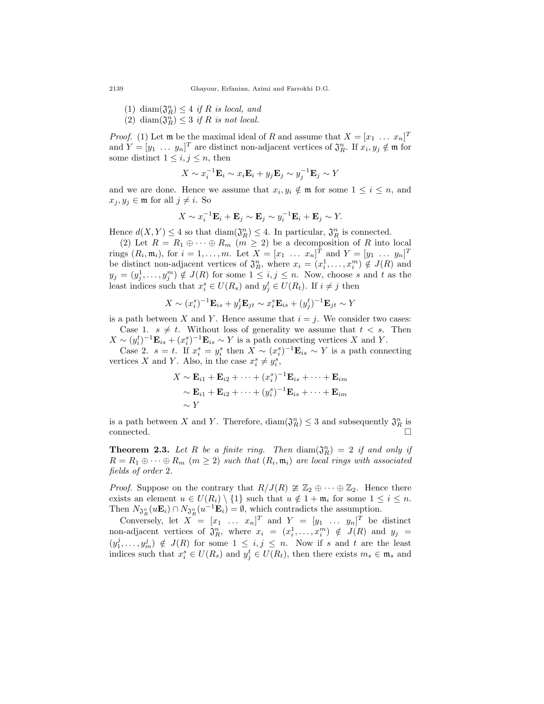- $(1)$  diam $(\mathfrak{J}_R^n) \leq 4$  *if R is local, and*
- (2) diam $(\mathfrak{J}_R^n) \leq 3$  *if R is not local.*

*Proof.* (1) Let **m** be the maximal ideal of *R* and assume that  $X = [x_1 \dots x_n]^T$ and  $Y = [y_1 \dots y_n]^T$  are distinct non-adjacent vertices of  $\mathfrak{J}_R^n$ . If  $x_i, y_j \notin \mathfrak{m}$  for some distinct  $1 \leq i, j \leq n$ , then

$$
X \sim x_i^{-1} \mathbf{E}_i \sim x_i \mathbf{E}_i + y_j \mathbf{E}_j \sim y_j^{-1} \mathbf{E}_j \sim Y
$$

and we are done. Hence we assume that  $x_i, y_i \notin \mathfrak{m}$  for some  $1 \leq i \leq n$ , and  $x_j, y_j \in \mathfrak{m}$  for all  $j \neq i$ . So

$$
X \sim x_i^{-1} \mathbf{E}_i + \mathbf{E}_j \sim \mathbf{E}_j \sim y_i^{-1} \mathbf{E}_i + \mathbf{E}_j \sim Y.
$$

Hence  $d(X, Y) \leq 4$  so that  $\text{diam}(\mathfrak{J}_R^n) \leq 4$ . In particular,  $\mathfrak{J}_R^n$  is connected.

(2) Let  $R = R_1 \oplus \cdots \oplus R_m$   $(m \geq 2)$  be a decomposition of R into local rings  $(R_i, \mathfrak{m}_i)$ , for  $i = 1, ..., m$ . Let  $X = [x_1 \dots x_n]^T$  and  $Y = [y_1 \dots y_n]^T$ be distinct non-adjacent vertices of  $\mathfrak{J}_R^n$ , where  $x_i = (x_i^1, \ldots, x_i^m) \notin J(R)$  and  $y_j = (y_j^1, \ldots, y_j^m) \notin J(R)$  for some  $1 \leq i, j \leq n$ . Now, choose *s* and *t* as the least indices such that  $x_i^s \in U(R_s)$  and  $y_j^t \in U(R_t)$ . If  $i \neq j$  then

$$
X \sim (x_i^s)^{-1} \mathbf{E}_{is} + y_j^t \mathbf{E}_{jt} \sim x_i^s \mathbf{E}_{is} + (y_j^t)^{-1} \mathbf{E}_{jt} \sim Y
$$

is a path between *X* and *Y*. Hence assume that  $i = j$ . We consider two cases: Case 1.  $s \neq t$ . Without loss of generality we assume that  $t < s$ . Then  $X \sim (y_i^t)^{-1} \mathbf{E}_{is} + (x_i^s)^{-1} \mathbf{E}_{is} \sim Y$  is a path connecting vertices *X* and *Y*.

Case 2. *s* = *t*. If  $x_i^s = y_i^s$  then  $X \sim (x_i^s)^{-1} \mathbf{E}_{is} \sim Y$  is a path connecting vertices *X* and *Y*. Also, in the case  $x_i^s \neq y_i^s$ ,

$$
X \sim \mathbf{E}_{i1} + \mathbf{E}_{i2} + \dots + (x_i^s)^{-1} \mathbf{E}_{is} + \dots + \mathbf{E}_{im}
$$
  
 
$$
\sim \mathbf{E}_{i1} + \mathbf{E}_{i2} + \dots + (y_i^s)^{-1} \mathbf{E}_{is} + \dots + \mathbf{E}_{im}
$$
  
 
$$
\sim Y
$$

is a path between *X* and *Y*. Therefore,  $\text{diam}(\mathfrak{J}_R^n) \leq 3$  and subsequently  $\mathfrak{J}_R^n$  is connected.

**Theorem 2.3.** Let R be a finite ring. Then  $\text{diam}(\mathfrak{J}_R^n) = 2$  if and only if  $R = R_1 \oplus \cdots \oplus R_m \ (m \geq 2)$  such that  $(R_i, \mathfrak{m}_i)$  are local rings with associated *fields of order* 2*.*

*Proof.* Suppose on the contrary that  $R/J(R) \ncong \mathbb{Z}_2 \oplus \cdots \oplus \mathbb{Z}_2$ . Hence there exists an element  $u \in U(R_i) \setminus \{1\}$  such that  $u \notin 1 + \mathfrak{m}_i$  for some  $1 \leq i \leq n$ . Then  $N_{\mathfrak{J}_R^n}(u\mathbf{E}_i) \cap N_{\mathfrak{J}_R^n}(u^{-1}\mathbf{E}_i) = \emptyset$ , which contradicts the assumption.

Conversely, let  $X = [x_1 \dots x_n]^T$  and  $Y = [y_1 \dots y_n]^T$  be distinct non-adjacent vertices of  $\mathfrak{J}_R^n$ , where  $x_i = (x_i^1, \ldots, x_i^m) \notin J(R)$  and  $y_j =$  $(y_1^j, \ldots, y_m^j) \notin J(R)$  for some  $1 \leq i, j \leq n$ . Now if *s* and *t* are the least indices such that  $x_i^s \in U(R_s)$  and  $y_j^t \in U(R_t)$ , then there exists  $m_s \in \mathfrak{m}_s$  and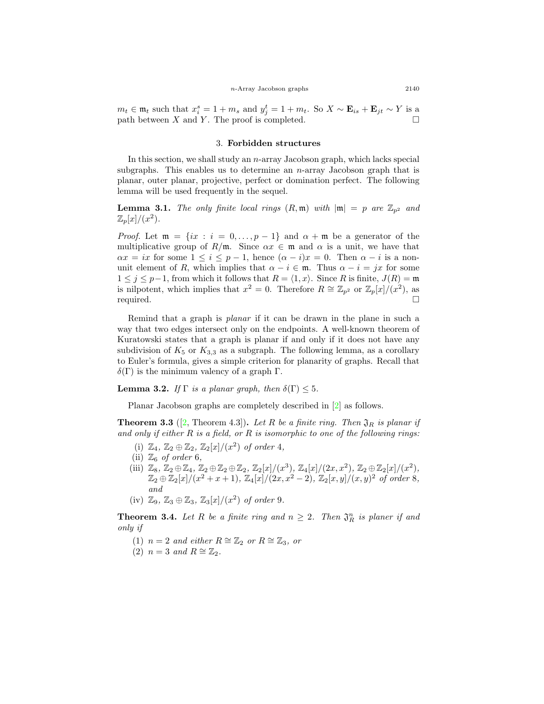$m_t \in \mathfrak{m}_t$  such that  $x_i^s = 1 + m_s$  and  $y_j^t = 1 + m_t$ . So  $X \sim \mathbf{E}_{is} + \mathbf{E}_{jt} \sim Y$  is a path between  $X$  and  $Y$ . The proof is completed.

### 3. **Forbidden structures**

In this section, we shall study an *n*-array Jacobson graph, which lacks special subgraphs. This enables us to determine an *n*-array Jacobson graph that is planar, outer planar, projective, perfect or domination perfect. The following lemma will be used frequently in the sequel.

<span id="page-4-3"></span>**Lemma 3.1.** *The only finite local rings*  $(R, \mathfrak{m})$  *with*  $|\mathfrak{m}| = p$  *are*  $\mathbb{Z}_{p^2}$  *and*  $\mathbb{Z}_p[x]/(x^2)$ .

*Proof.* Let  $\mathfrak{m} = \{ix : i = 0, \ldots, p-1\}$  and  $\alpha + \mathfrak{m}$  be a generator of the multiplicative group of  $R/\mathfrak{m}$ . Since  $\alpha x \in \mathfrak{m}$  and  $\alpha$  is a unit, we have that  $\alpha x = ix$  for some  $1 \leq i \leq p-1$ , hence  $(\alpha - i)x = 0$ . Then  $\alpha - i$  is a nonunit element of *R*, which implies that  $\alpha - i \in \mathfrak{m}$ . Thus  $\alpha - i = jx$  for some 1 ≤  $j$  ≤  $p$ −1, from which it follows that  $R = \langle 1, x \rangle$ . Since  $R$  is finite,  $J(R) = \mathfrak{m}$ is nilpotent, which implies that  $x^2 = 0$ . Therefore  $R \cong \mathbb{Z}_{p^2}$  or  $\mathbb{Z}_p[x]/(x^2)$ , as required.  $\Box$ 

Remind that a graph is *planar* if it can be drawn in the plane in such a way that two edges intersect only on the endpoints. A well-known theorem of Kuratowski states that a graph is planar if and only if it does not have any subdivision of  $K_5$  or  $K_{3,3}$  as a subgraph. The following lemma, as a corollary to Euler's formula, gives a simple criterion for planarity of graphs. Recall that  $\delta(\Gamma)$  is the minimum valency of a graph  $\Gamma$ .

<span id="page-4-0"></span>**Lemma 3.2.** *If*  $\Gamma$  *is a planar graph, then*  $\delta(\Gamma) \leq 5$ *.* 

Planar Jacobson graphs are completely described in[[2](#page-16-0)] as follows.

<span id="page-4-1"></span>**Theorem 3.3** ([\[2](#page-16-0), Theorem 4.3]). Let R be a finite ring. Then  $\mathfrak{J}_R$  is planar if *and only if either R is a field, or R is isomorphic to one of the following rings:*

- (i)  $\mathbb{Z}_4$ ,  $\mathbb{Z}_2 \oplus \mathbb{Z}_2$ ,  $\mathbb{Z}_2[x]/(x^2)$  of order 4,
- (ii)  $\mathbb{Z}_6$  *of order* 6*,*
- (iii)  $\mathbb{Z}_8, \mathbb{Z}_2 \oplus \mathbb{Z}_4, \mathbb{Z}_2 \oplus \mathbb{Z}_2 \oplus \mathbb{Z}_2, \mathbb{Z}_2[x]/(x^3), \mathbb{Z}_4[x]/(2x, x^2), \mathbb{Z}_2 \oplus \mathbb{Z}_2[x]/(x^2),$  $\mathbb{Z}_2 \oplus \mathbb{Z}_2[x]/(x^2 + x + 1), \mathbb{Z}_4[x]/(2x, x^2 - 2), \mathbb{Z}_2[x, y]/(x, y)^2$  of order 8*, and*
- $(iv) \mathbb{Z}_9$ ,  $\mathbb{Z}_3 \oplus \mathbb{Z}_3$ ,  $\mathbb{Z}_3[x]/(x^2)$  *of order* 9*.*

<span id="page-4-2"></span>**Theorem 3.4.** Let R be a finite ring and  $n \geq 2$ . Then  $\mathfrak{J}_R^n$  is planer if and *only if*

- (1)  $n = 2$  *and either*  $R \cong \mathbb{Z}_2$  *or*  $R \cong \mathbb{Z}_3$ *, or*
- (2)  $n = 3$  *and*  $R \cong \mathbb{Z}_2$ .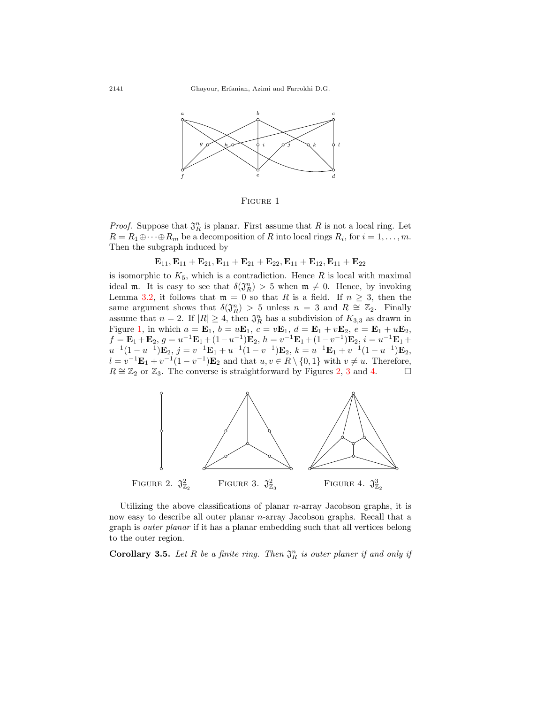<span id="page-5-0"></span>

Figure 1

*Proof.* Suppose that  $\mathfrak{J}_R^n$  is planar. First assume that R is not a local ring. Let  $R = R_1 \oplus \cdots \oplus R_m$  be a decomposition of *R* into local rings  $R_i$ , for  $i = 1, \ldots, m$ . Then the subgraph induced by

 $\mathbf{E}_{11}$ ,  $\mathbf{E}_{11}$  +  $\mathbf{E}_{21}$ ,  $\mathbf{E}_{11}$  +  $\mathbf{E}_{21}$  +  $\mathbf{E}_{22}$ ,  $\mathbf{E}_{11}$  +  $\mathbf{E}_{12}$ ,  $\mathbf{E}_{11}$  +  $\mathbf{E}_{22}$ 

is isomorphic to  $K_5$ , which is a contradiction. Hence  $R$  is local with maximal ideal **m**. It is easy to see that  $\delta(\mathfrak{J}_R^n) > 5$  when  $\mathfrak{m} \neq 0$ . Hence, by invoking Lemma [3.2](#page-4-0), it follows that  $m = 0$  so that *R* is a field. If  $n \geq 3$ , then the same argument shows that  $\delta(\mathfrak{J}_R^n) > 5$  unless  $n = 3$  and  $R \cong \mathbb{Z}_2$ . Finally assume that  $n = 2$ . If  $|R| \geq 4$ , then  $\mathfrak{J}_R^n$  has a subdivision of  $K_{3,3}$  as drawn in Figure [1,](#page-5-0) in which  $a = \mathbf{E}_1$ ,  $b = u\mathbf{E}_1$ ,  $c = v\mathbf{E}_1$ ,  $d = \mathbf{E}_1 + v\mathbf{E}_2$ ,  $e = \mathbf{E}_1 + u\mathbf{E}_2$ ,  $f = \mathbf{E}_1 + \mathbf{E}_2, g = u^{-1}\mathbf{E}_1 + (1 - u^{-1})\mathbf{E}_2, h = v^{-1}\mathbf{E}_1 + (1 - v^{-1})\mathbf{E}_2, i = u^{-1}\mathbf{E}_1 +$  $u^{-1}(1-u^{-1})\mathbf{E}_2, j = v^{-1}\mathbf{E}_1 + u^{-1}(1-v^{-1})\mathbf{E}_2, k = u^{-1}\mathbf{E}_1 + v^{-1}(1-u^{-1})\mathbf{E}_2,$  $l = v^{-1} \mathbf{E}_1 + v^{-1} (1 - v^{-1}) \mathbf{E}_2$  and that  $u, v \in R \setminus \{0, 1\}$  with  $v \neq u$ . Therefore,  $R \cong \mathbb{Z}_2$  $R \cong \mathbb{Z}_2$  or  $\mathbb{Z}_3$  $\mathbb{Z}_3$ . The converse is straightforward by Figures 2, 3 and [4](#page-5-1). □

<span id="page-5-1"></span>

Utilizing the above classifications of planar *n*-array Jacobson graphs, it is now easy to describe all outer planar *n*-array Jacobson graphs. Recall that a graph is *outer planar* if it has a planar embedding such that all vertices belong to the outer region.

**Corollary 3.5.** Let  $R$  be a finite ring. Then  $\mathfrak{J}_R^n$  is outer planer if and only if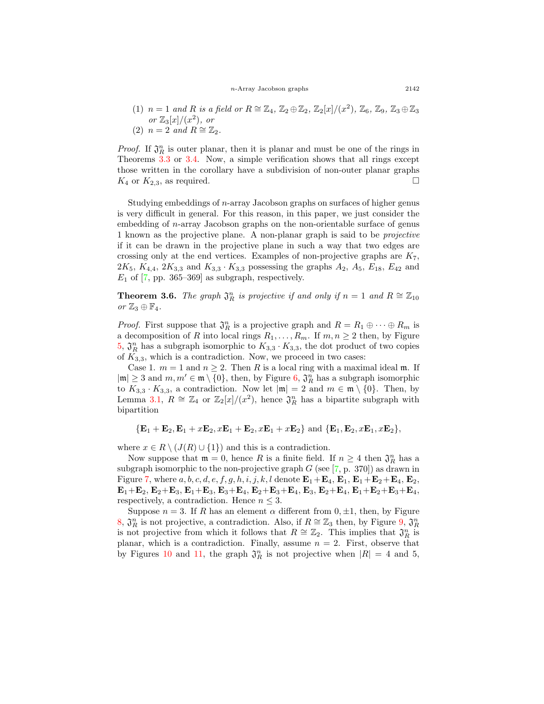*n*-Array Jacobson graphs 2142

(1) 
$$
n = 1
$$
 and R is a field or  $R \cong \mathbb{Z}_4$ ,  $\mathbb{Z}_2 \oplus \mathbb{Z}_2$ ,  $\mathbb{Z}_2[x]/(x^2)$ ,  $\mathbb{Z}_6$ ,  $\mathbb{Z}_9$ ,  $\mathbb{Z}_3 \oplus \mathbb{Z}_3$   
or  $\mathbb{Z}_3[x]/(x^2)$ , or  
(2)  $n = 2$  and  $R \cong \mathbb{Z}_2$ .

*Proof.* If  $\mathfrak{J}_R^n$  is outer planar, then it is planar and must be one of the rings in Theorems [3.3](#page-4-1) or [3.4.](#page-4-2) Now, a simple verification shows that all rings except those written in the corollary have a subdivision of non-outer planar graphs  $K_4$  or  $K_{2,3}$ , as required.

Studying embeddings of *n*-array Jacobson graphs on surfaces of higher genus is very difficult in general. For this reason, in this paper, we just consider the embedding of *n*-array Jacobson graphs on the non-orientable surface of genus 1 known as the projective plane. A non-planar graph is said to be *projective* if it can be drawn in the projective plane in such a way that two edges are crossing only at the end vertices. Examples of non-projective graphs are *K*7,  $2K_5$ ,  $K_{4,4}$ ,  $2K_{3,3}$  and  $K_{3,3}$   $\cdot K_{3,3}$  possessing the graphs  $A_2$ ,  $A_5$ ,  $E_{18}$ ,  $E_{42}$  and  $E_1$  of [\[7](#page-16-7), pp. 365–369] as subgraph, respectively.

<span id="page-6-0"></span>**Theorem 3.6.** *The graph*  $\mathfrak{J}_R^n$  *is projective if and only if*  $n = 1$  *and*  $R \cong \mathbb{Z}_{10}$  $or\ \mathbb{Z}_3 \oplus \mathbb{F}_4.$ 

*Proof.* First suppose that  $\mathfrak{J}_R^n$  is a projective graph and  $R = R_1 \oplus \cdots \oplus R_m$  is a decomposition of *R* into local rings  $R_1, \ldots, R_m$ . If  $m, n \geq 2$  then, by Figure [5](#page-8-0),  $\mathfrak{J}_R^n$  has a subgraph isomorphic to  $K_{3,3} \cdot K_{3,3}$ , the dot product of two copies of  $K_{3,3}$ , which is a contradiction. Now, we proceed in two cases:

Case 1.  $m = 1$  and  $n \geq 2$ . Then R is a local ring with a maximal ideal m. If  $|\mathfrak{m}|$  ≥ 3 and  $m, m' \in \mathfrak{m} \setminus \{0\}$ , then, by Figure [6](#page-8-1),  $\mathfrak{J}_R^n$  has a subgraph isomorphic to  $K_{3,3} \cdot K_{3,3}$ , a contradiction. Now let  $|\mathfrak{m}| = 2$  and  $m \in \mathfrak{m} \setminus \{0\}$ . Then, by Lemma [3.1](#page-4-3),  $R \cong \mathbb{Z}_4$  or  $\mathbb{Z}_2[x]/(x^2)$ , hence  $\mathfrak{J}_R^n$  has a bipartite subgraph with bipartition

$$
{\{\mathbf{E}_1+\mathbf{E}_2,\mathbf{E}_1+x\mathbf{E}_2,x\mathbf{E}_1+\mathbf{E}_2,x\mathbf{E}_1+x\mathbf{E}_2\}}\ \text{and}\ {\{\mathbf{E}_1,\mathbf{E}_2,x\mathbf{E}_1,x\mathbf{E}_2\}},
$$

where  $x \in R \setminus (J(R) \cup \{1\})$  and this is a contradiction.

Now suppose that  $\mathfrak{m} = 0$ , hence *R* is a finite field. If  $n \geq 4$  then  $\mathfrak{J}_R^n$  has a subgraph isomorphic to the non-projective graph  $G$  (see  $[7, p. 370]$ ) as drawn in Figure [7,](#page-8-2) where  $a, b, c, d, e, f, g, h, i, j, k, l$  denote  $\mathbf{E}_1 + \mathbf{E}_4$ ,  $\mathbf{E}_1 + \mathbf{E}_2 + \mathbf{E}_4$ ,  $\mathbf{E}_2$ , **E**<sub>1</sub>+**E**<sub>2</sub>, **E**<sub>2</sub>+**E**<sub>3</sub>, **E**<sub>1</sub>+**E**<sub>3</sub>, **E**<sub>3</sub>+**E**<sub>4</sub>, **E**<sub>2</sub>+**E**<sub>3</sub>+**E**<sub>4</sub>, **E**<sub>3</sub>, **E**<sub>2</sub>+**E**<sub>4</sub>, **E**<sub>1</sub>+**E**<sub>2</sub>+**E**<sub>3</sub>+**E**<sub>4</sub>, respectively, a contradiction. Hence  $n \leq 3$ .

Suppose  $n = 3$ . If *R* has an element  $\alpha$  different from  $0, \pm 1$ , then, by Figure [8](#page-9-0),  $\mathfrak{J}_R^n$  is not projective, a contradiction. Also, if *R* ≅  $\mathbb{Z}_3$  then, by Figure [9](#page-9-1),  $\mathfrak{J}_R^n$ is not projective from which it follows that  $R \cong \mathbb{Z}_2$ . This implies that  $\mathfrak{J}_R^n$  is planar, which is a contradiction. Finally, assume  $n = 2$ . First, observe that by Figures [10](#page-9-2) and [11](#page-10-0), the graph  $\mathfrak{J}_R^n$  is not projective when  $|R| = 4$  and 5,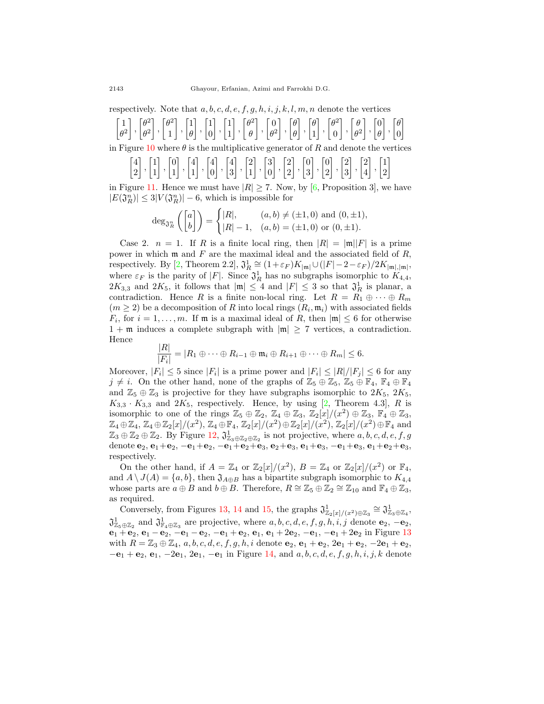respectively. Note that *a, b, c, d, e, f, g, h, i, j, k, l, m, n* denote the vertices

 $\lceil 1 \rceil$ *θ* 2 ] *,*  $\int \theta^2$ *θ* 2 ] *,*  $\lceil \theta^2 \rceil$ 1 ] *,*  $\lceil 1 \rceil$ *θ* ] *,*  $\lceil 1 \rceil$ 0 ] *,*  $\lceil 1 \rceil$ 1 ] *,*  $\lceil \theta^2 \rceil$ *θ* ] *,*  $\lceil 0$ *θ* 2 ] *,* [ *θ θ* ] *,* [ *θ* 1 ] *,*  $\lceil \theta^2 \rceil$ 0 ] *,* [ *θ θ* 2 ] *,*  $\lceil 0 \rceil$ *θ* ] *,* [ *θ*  $\overline{0}$ ]

in Figure [10](#page-9-2) where  $\theta$  is the multiplicative generator of R and denote the vertices

[ 4 2 ] *,*  $\lceil 1 \rceil$ 1 ] *,*  $\lceil 0 \rceil$ 1 ] *,* [ 4 1 ] *,* [ 4 0 ] *,* [ 4 3 ] *,*  $\lceil 2 \rceil$ 1 ] *,* [ 3 0 ] *,*  $\lceil 2 \rceil$ 2 ] *,*  $\lceil 0 \rceil$ 3 ] *,*  $\lceil 0$ 2 ] *,*  $\lceil 2 \rceil$ 3 ] *,*  $\lceil 2 \rceil$ 4 ] *,*  $\lceil 1 \rceil$ 2 ]

in Figure [11](#page-10-0). Hence we must have  $|R| \ge 7$ . Now, by [\[6](#page-16-8), Proposition 3], we have  $|E(\mathfrak{J}_R^n)| \leq 3|V(\mathfrak{J}_R^n)| - 6$ , which is impossible for

$$
\deg_{\mathfrak{J}_R^n} \left( \begin{bmatrix} a \\ b \end{bmatrix} \right) = \begin{cases} |R|, & (a,b) \neq (\pm 1,0) \text{ and } (0, \pm 1), \\ |R| - 1, & (a,b) = (\pm 1,0) \text{ or } (0, \pm 1). \end{cases}
$$

Case 2.  $n = 1$ . If *R* is a finite local ring, then  $|R| = |\mathfrak{m}||F|$  is a prime power in which m and *F* are the maximal ideal and the associated field of *R*, respectively. By [\[2](#page-16-0), Theorem 2.2],  $\mathfrak{J}_R^1 \cong (1+\varepsilon_F)K_{|\mathfrak{m}|} \cup (|F|-2-\varepsilon_F)/2K_{|\mathfrak{m}|,|\mathfrak{m}|},$ where  $\varepsilon_F$  is the parity of  $|F|$ . Since  $\mathfrak{J}_R^1$  has no subgraphs isomorphic to  $K_{4,4}$ ,  $2K_{3,3}$  and  $2K_5$ , it follows that  $|\mathfrak{m}| \leq 4$  and  $|F| \leq 3$  so that  $\mathfrak{J}^1_R$  is planar, a contradiction. Hence *R* is a finite non-local ring. Let  $R = R_1 \oplus \cdots \oplus R_m$  $(m \geq 2)$  be a decomposition of *R* into local rings  $(R_i, \mathfrak{m}_i)$  with associated fields  $F_i$ , for  $i = 1, \ldots, m$ . If  $\mathfrak m$  is a maximal ideal of *R*, then  $|\mathfrak m| \leq 6$  for otherwise  $1 + \mathfrak{m}$  induces a complete subgraph with  $|\mathfrak{m}| \geq 7$  vertices, a contradiction. Hence

$$
\frac{|R|}{|F_i|} = |R_1 \oplus \cdots \oplus R_{i-1} \oplus \mathfrak{m}_i \oplus R_{i+1} \oplus \cdots \oplus R_m| \leq 6.
$$

Moreover,  $|F_i| \leq 5$  since  $|F_i|$  is a prime power and  $|F_i| \leq |R|/|F_j| \leq 6$  for any  $j \neq i$ . On the other hand, none of the graphs of  $\mathbb{Z}_5 \oplus \mathbb{Z}_5$ ,  $\mathbb{Z}_5 \oplus \mathbb{F}_4$ ,  $\mathbb{F}_4 \oplus \mathbb{F}_4$ and  $\mathbb{Z}_5 \oplus \mathbb{Z}_3$  is projective for they have subgraphs isomorphic to  $2K_5$ ,  $2K_5$ ,  $K_{3,3} \cdot K_{3,3}$  and  $2K_5$ , respectively. Hence, by using [\[2](#page-16-0), Theorem 4.3], *R* is isomorphic to one of the rings  $\mathbb{Z}_5 \oplus \mathbb{Z}_2$ ,  $\mathbb{Z}_4 \oplus \mathbb{Z}_3$ ,  $\mathbb{Z}_2[x]/(x^2) \oplus \mathbb{Z}_3$ ,  $\mathbb{F}_4 \oplus \mathbb{Z}_3$ ,  $\mathbb{Z}_4 \oplus \mathbb{Z}_4, \mathbb{Z}_4 \oplus \mathbb{Z}_2[x]/(x^2), \mathbb{Z}_4 \oplus \mathbb{F}_4, \mathbb{Z}_2[x]/(x^2) \oplus \mathbb{Z}_2[x]/(x^2), \mathbb{Z}_2[x]/(x^2) \oplus \mathbb{F}_4$  and  $\mathbb{Z}_3 \oplus \mathbb{Z}_2 \oplus \mathbb{Z}_2$ . By Figure [12,](#page-10-1)  $\mathfrak{J}^1_{\mathbb{Z}_3 \oplus \mathbb{Z}_2 \oplus \mathbb{Z}_2}$  is not projective, where  $a, b, c, d, e, f, g$ denote **e**2, **e**1+**e**2, *−***e**1+**e**2, *−***e**1+**e**2+**e**3, **e**2+**e**3, **e**1+**e**3, *−***e**1+**e**3, **e**1+**e**2+**e**3, respectively.

On the other hand, if  $A = \mathbb{Z}_4$  or  $\mathbb{Z}_2[x]/(x^2)$ ,  $B = \mathbb{Z}_4$  or  $\mathbb{Z}_2[x]/(x^2)$  or  $\mathbb{F}_4$ , and  $A \setminus J(A) = \{a, b\}$ , then  $\mathfrak{J}_{A \oplus B}$  has a bipartite subgraph isomorphic to  $K_{4,4}$ whose parts are  $a \oplus B$  and  $b \oplus B$ . Therefore,  $R \cong \mathbb{Z}_5 \oplus \mathbb{Z}_2 \cong \mathbb{Z}_{10}$  and  $\mathbb{F}_4 \oplus \mathbb{Z}_3$ , as required.

Conversely, from Figures [13](#page-10-2), [14](#page-11-0) and [15](#page-11-1), the graphs  $\mathfrak{J}^1_{\mathbb{Z}_2[x]/(x^2)\oplus\mathbb{Z}_3} \cong \mathfrak{J}^1_{\mathbb{Z}_3\oplus\mathbb{Z}_4}$ ,  $\mathfrak{J}^1_{\mathbb{Z}_5 \oplus \mathbb{Z}_2}$  and  $\mathfrak{J}^1_{\mathbb{F}_4 \oplus \mathbb{Z}_3}$  are projective, where  $a, b, c, d, e, f, g, h, i, j$  denote  $\mathbf{e}_2, -\mathbf{e}_2$ , **e**<sup>1</sup> + **e**2, **e**<sup>1</sup> *−* **e**2, *−***e**<sup>1</sup> *−* **e**2, *−***e**<sup>1</sup> + **e**2, **e**1, **e**<sup>1</sup> + 2**e**2, *−***e**1, *−***e**<sup>1</sup> + 2**e**<sup>2</sup> in Figure [13](#page-10-2) with  $R = \mathbb{Z}_3 \oplus \mathbb{Z}_4$ ,  $a, b, c, d, e, f, g, h, i$  denote  $e_2$ ,  $e_1 + e_2$ ,  $2e_1 + e_2$ ,  $-2e_1 + e_2$ , *−***e**<sup>1</sup> + **e**2, **e**1, *−*2**e**1, 2**e**1, *−***e**<sup>1</sup> in Figure [14](#page-11-0), and *a, b, c, d, e, f, g, h, i, j, k* denote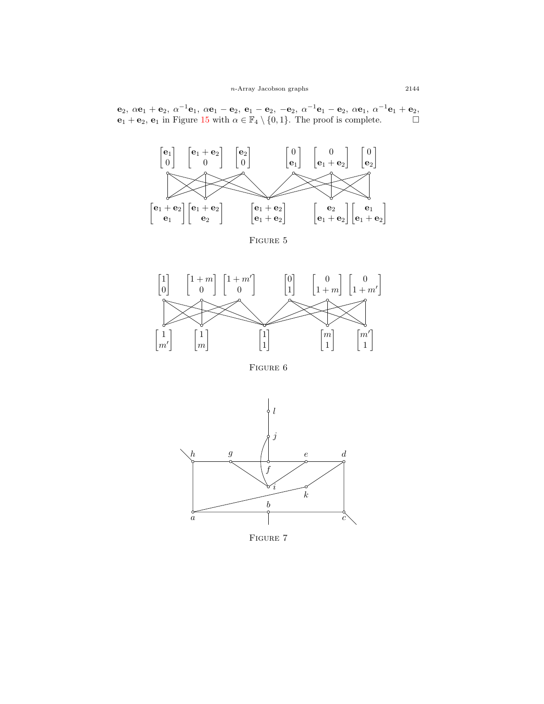${\bf e}_2, \ \alpha {\bf e}_1 + {\bf e}_2, \ \alpha^{-1}{\bf e}_1, \ \alpha {\bf e}_1 - {\bf e}_2, \ {\bf e}_1 - {\bf e}_2, \ - {\bf e}_2, \ \alpha^{-1}{\bf e}_1 - {\bf e}_2, \ \alpha {\bf e}_1, \ \alpha^{-1}{\bf e}_1 + {\bf e}_2,$ **e**<sub>1</sub> + **e**<sub>2</sub>, **e**<sub>1</sub> in Figure [15](#page-11-1) with  $\alpha \in \mathbb{F}_4 \setminus \{0, 1\}$ . The proof is complete. □

<span id="page-8-0"></span>

FIGURE 5

<span id="page-8-1"></span>

FIGURE 6

<span id="page-8-2"></span>

FIGURE 7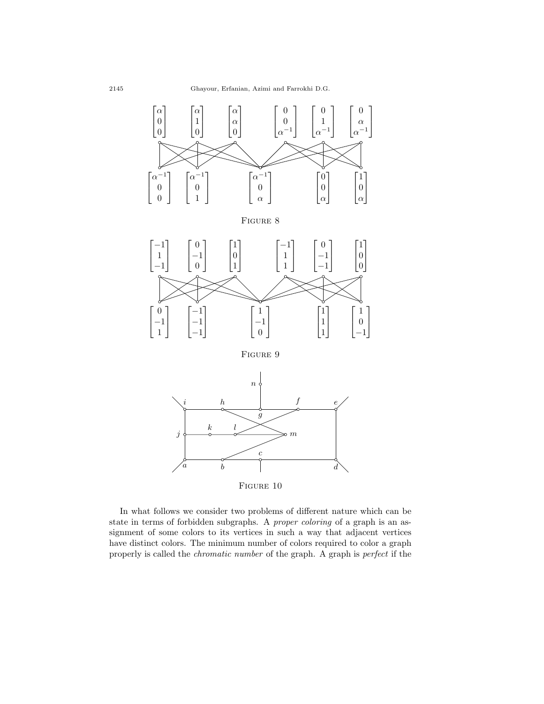<span id="page-9-1"></span><span id="page-9-0"></span>

<span id="page-9-2"></span>In what follows we consider two problems of different nature which can be state in terms of forbidden subgraphs. A *proper coloring* of a graph is an assignment of some colors to its vertices in such a way that adjacent vertices have distinct colors. The minimum number of colors required to color a graph properly is called the *chromatic number* of the graph. A graph is *perfect* if the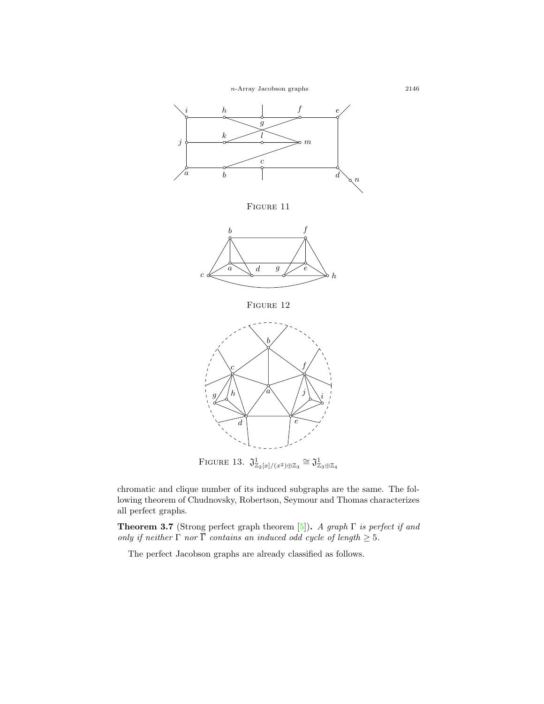<span id="page-10-0"></span>

FIGURE 11

<span id="page-10-1"></span>

FIGURE 12

<span id="page-10-2"></span>

FIGURE 13.  $\mathfrak{J}^1_{\mathbb{Z}_2[x]/(x^2)\oplus\mathbb{Z}_3} \cong \mathfrak{J}^1_{\mathbb{Z}_3\oplus\mathbb{Z}_4}$ 

chromatic and clique number of its induced subgraphs are the same. The following theorem of Chudnovsky, Robertson, Seymour and Thomas characterizes all perfect graphs.

**Theorem 3.7** (Strong perfect graph theorem [\[5](#page-16-9)])**.** *A graph* Γ *is perfect if and only if neither*  $\Gamma$  *nor*  $\overline{\Gamma}$  *contains an induced odd cycle of length*  $\geq$  5*.* 

The perfect Jacobson graphs are already classified as follows.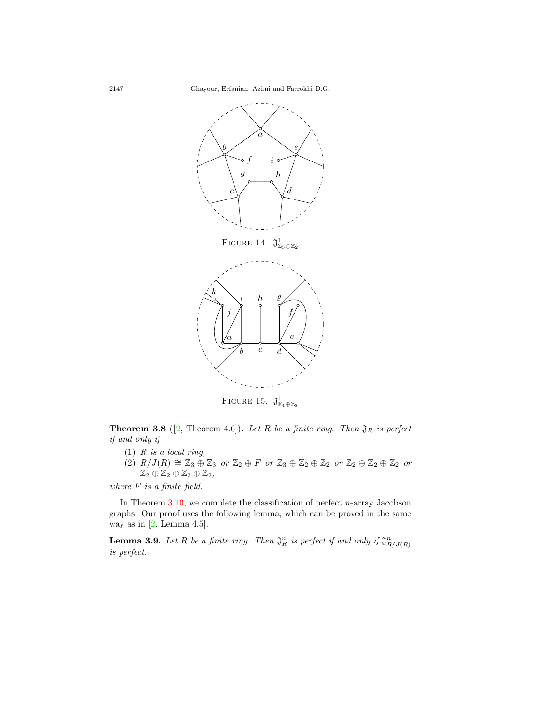

FIGURE 15.  $\mathfrak{J}^1_{\mathbb{F}_4\oplus\mathbb{Z}_3}$ 

<span id="page-11-1"></span>**Theorem 3.8** ([\[2](#page-16-0), Theorem 4.6]). Let  $R$  be a finite ring. Then  $\mathfrak{J}_R$  is perfect *if and only if*

- (1) *R is a local ring,*
- $(2)$   $R/J(R) \cong \mathbb{Z}_3 \oplus \mathbb{Z}_3$  or  $\mathbb{Z}_2 \oplus F$  or  $\mathbb{Z}_3 \oplus \mathbb{Z}_2 \oplus \mathbb{Z}_2$  or  $\mathbb{Z}_2 \oplus \mathbb{Z}_2 \oplus \mathbb{Z}_2$  or  $\mathbb{Z}_2 \oplus \mathbb{Z}_2 \oplus \mathbb{Z}_2 \oplus \mathbb{Z}_2$

*where F is a finite field.*

In Theorem [3.10,](#page-12-0) we complete the classification of perfect *n*-array Jacobson graphs. Our proof uses the following lemma, which can be proved in the same wayas in  $[2, \text{Lemma } 4.5].$  $[2, \text{Lemma } 4.5].$  $[2, \text{Lemma } 4.5].$ 

<span id="page-11-2"></span>**Lemma 3.9.** Let R be a finite ring. Then  $\mathfrak{J}_R^n$  is perfect if and only if  $\mathfrak{J}_{R/J(R)}^n$ *is perfect.*

<span id="page-11-0"></span>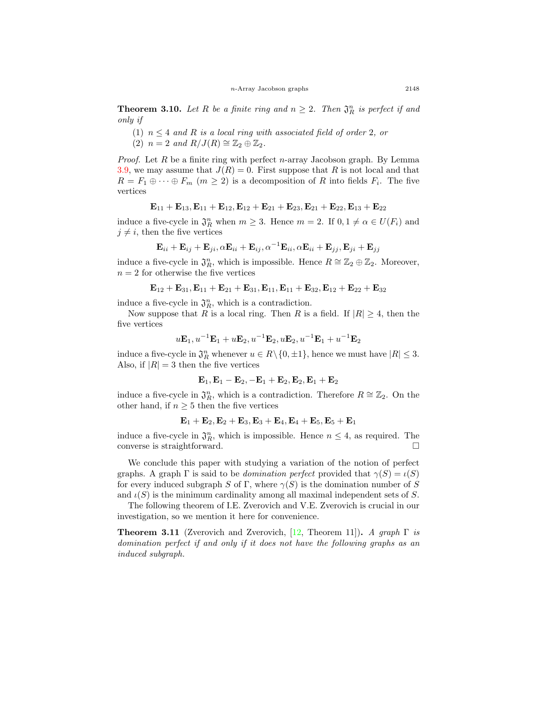<span id="page-12-0"></span>**Theorem 3.10.** Let R be a finite ring and  $n \geq 2$ . Then  $\mathfrak{J}_R^n$  is perfect if and *only if*

- (1)  $n \leq 4$  *and R is a local ring with associated field of order* 2*, or*
- $(2)$   $n = 2$  and  $R/J(R) \cong \mathbb{Z}_2 \oplus \mathbb{Z}_2$ .

*Proof.* Let *R* be a finite ring with perfect *n*-array Jacobson graph. By Lemma [3.9,](#page-11-2) we may assume that  $J(R) = 0$ . First suppose that R is not local and that  $R = F_1 \oplus \cdots \oplus F_m \ (m \geq 2)$  is a decomposition of *R* into fields  $F_i$ . The five vertices

$$
\mathbf{E}_{11}+\mathbf{E}_{13}, \mathbf{E}_{11}+\mathbf{E}_{12}, \mathbf{E}_{12}+\mathbf{E}_{21}+\mathbf{E}_{23}, \mathbf{E}_{21}+\mathbf{E}_{22}, \mathbf{E}_{13}+\mathbf{E}_{22}
$$

induce a five-cycle in  $\mathfrak{J}_R^n$  when  $m \geq 3$ . Hence  $m = 2$ . If  $0, 1 \neq \alpha \in U(F_i)$  and  $j \neq i$ , then the five vertices

$$
\mathbf{E}_{ii} + \mathbf{E}_{ij} + \mathbf{E}_{ji}, \alpha \mathbf{E}_{ii} + \mathbf{E}_{ij}, \alpha^{-1} \mathbf{E}_{ii}, \alpha \mathbf{E}_{ii} + \mathbf{E}_{jj}, \mathbf{E}_{ji} + \mathbf{E}_{jj}
$$

induce a five-cycle in  $\mathfrak{J}_R^n$ , which is impossible. Hence  $R \cong \mathbb{Z}_2 \oplus \mathbb{Z}_2$ . Moreover,  $n = 2$  for otherwise the five vertices

$$
\mathbf{E}_{12}+\mathbf{E}_{31}, \mathbf{E}_{11}+\mathbf{E}_{21}+\mathbf{E}_{31}, \mathbf{E}_{11}, \mathbf{E}_{11}+\mathbf{E}_{32}, \mathbf{E}_{12}+\mathbf{E}_{22}+\mathbf{E}_{32}
$$

induce a five-cycle in  $\mathfrak{J}_R^n$ , which is a contradiction.

Now suppose that *R* is a local ring. Then *R* is a field. If  $|R| \geq 4$ , then the five vertices

$$
u\mathbf{E}_1, u^{-1}\mathbf{E}_1 + u\mathbf{E}_2, u^{-1}\mathbf{E}_2, u\mathbf{E}_2, u^{-1}\mathbf{E}_1 + u^{-1}\mathbf{E}_2
$$

induce a five-cycle in  $\mathfrak{J}_R^n$  whenever  $u \in R \setminus \{0, \pm 1\}$ , hence we must have  $|R| \leq 3$ . Also, if  $|R| = 3$  then the five vertices

$$
\mathbf{E}_1,\mathbf{E}_1-\mathbf{E}_2,-\mathbf{E}_1+\mathbf{E}_2,\mathbf{E}_2,\mathbf{E}_1+\mathbf{E}_2
$$

induce a five-cycle in  $\mathfrak{J}_R^n$ , which is a contradiction. Therefore  $R \cong \mathbb{Z}_2$ . On the other hand, if  $n \geq 5$  then the five vertices

$$
\mathbf{E}_1+\mathbf{E}_2, \mathbf{E}_2+\mathbf{E}_3, \mathbf{E}_3+\mathbf{E}_4, \mathbf{E}_4+\mathbf{E}_5, \mathbf{E}_5+\mathbf{E}_1
$$

induce a five-cycle in  $\mathfrak{J}_R^n$ , which is impossible. Hence  $n \leq 4$ , as required. The converse is straightforward.  $\Box$ 

We conclude this paper with studying a variation of the notion of perfect graphs. A graph  $\Gamma$  is said to be *domination perfect* provided that  $\gamma(S) = \iota(S)$ for every induced subgraph *S* of  $\Gamma$ , where  $\gamma(S)$  is the domination number of *S* and  $\iota(S)$  is the minimum cardinality among all maximal independent sets of *S*.

The following theorem of I.E. Zverovich and V.E. Zverovich is crucial in our investigation, so we mention it here for convenience.

**Theorem 3.11** (Zverovich and Zverovich, [\[12](#page-16-10), Theorem 11])**.** *A graph* Γ *is domination perfect if and only if it does not have the following graphs as an induced subgraph.*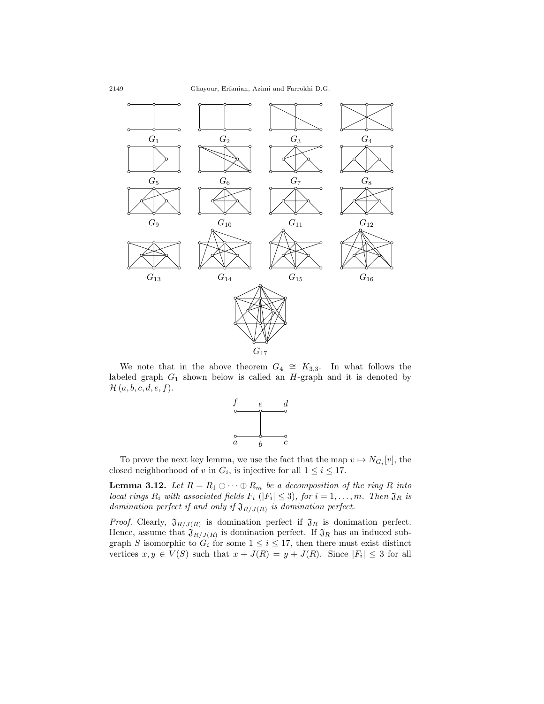

We note that in the above theorem  $G_4 \cong K_{3,3}$ . In what follows the labeled graph *G*<sup>1</sup> shown below is called an *H*-graph and it is denoted by *H* (*a, b, c, d, e, f*).



To prove the next key lemma, we use the fact that the map  $v \mapsto N_{G_i}[v]$ , the closed neighborhood of *v* in  $G_i$ , is injective for all  $1 \leq i \leq 17$ .

<span id="page-13-0"></span>**Lemma 3.12.** *Let*  $R = R_1 \oplus \cdots \oplus R_m$  *be a decomposition of the ring R into local rings*  $R_i$  *with associated fields*  $F_i$  ( $|F_i| \leq 3$ ), for  $i = 1, \ldots, m$ *. Then*  $\mathfrak{J}_R$  *is domination perfect if and only if* J*R/J*(*R*) *is domination perfect.*

*Proof.* Clearly,  $\mathfrak{J}_{R/J(R)}$  is domination perfect if  $\mathfrak{J}_R$  is donimation perfect. Hence, assume that  $\mathfrak{J}_{R/J(R)}$  is domination perfect. If  $\mathfrak{J}_R$  has an induced subgraph *S* isomorphic to  $G_i$  for some  $1 \leq i \leq 17$ , then there must exist distinct vertices  $x, y \in V(S)$  such that  $x + J(R) = y + J(R)$ . Since  $|F_i| \leq 3$  for all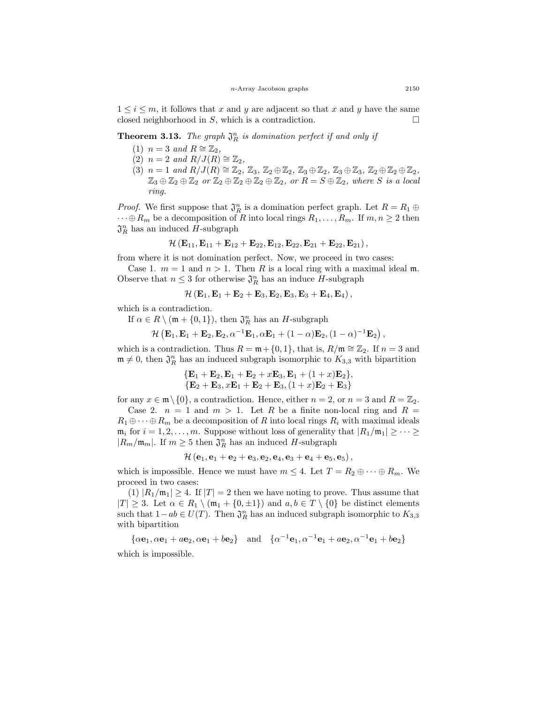$1 \leq i \leq m$ , it follows that x and y are adjacent so that x and y have the same closed neighborhood in  $S$ , which is a contradiction.  $\Box$ 

# **Theorem 3.13.** The graph  $\mathfrak{J}_R^n$  is domination perfect if and only if

- $(1)$  *n* = 3 *and*  $R \cong \mathbb{Z}_2$ ,
- $(2)$  *n* = 2 *and*  $R/J(R) \cong \mathbb{Z}_2$ ,
- $(3)$   $n = 1$  and  $R/J(R) \cong \mathbb{Z}_2$ ,  $\mathbb{Z}_3$ ,  $\mathbb{Z}_2 \oplus \mathbb{Z}_2$ ,  $\mathbb{Z}_3 \oplus \mathbb{Z}_2$ ,  $\mathbb{Z}_3 \oplus \mathbb{Z}_3$ ,  $\mathbb{Z}_2 \oplus \mathbb{Z}_2 \oplus \mathbb{Z}_2$ ,  $\mathbb{Z}_3 \oplus \mathbb{Z}_2 \oplus \mathbb{Z}_2$  or  $\mathbb{Z}_2 \oplus \mathbb{Z}_2 \oplus \mathbb{Z}_2 \oplus \mathbb{Z}_2$ , or  $R = S \oplus \mathbb{Z}_2$ , where *S* is a local *ring.*

*Proof.* We first suppose that  $\mathfrak{J}_R^n$  is a domination perfect graph. Let  $R = R_1 \oplus R_2$  $\dots \oplus R_m$  be a decomposition of *R* into local rings  $R_1, \dots, R_m$ . If  $m, n \geq 2$  then  $\mathfrak{J}_R^n$  has an induced *H*-subgraph

$$
{\cal H}\left( {\bf E}_{11}, {\bf E}_{11}+{\bf E}_{12}+{\bf E}_{22}, {\bf E}_{12}, {\bf E}_{22}, {\bf E}_{21}+{\bf E}_{22}, {\bf E}_{21}\right),
$$

from where it is not domination perfect. Now, we proceed in two cases:

Case 1.  $m = 1$  and  $n > 1$ . Then R is a local ring with a maximal ideal m. Observe that  $n \leq 3$  for otherwise  $\mathfrak{J}_R^n$  has an induce *H*-subgraph

$$
\mathcal{H}\left(\mathbf{E}_1,\mathbf{E}_1+\mathbf{E}_2+\mathbf{E}_3,\mathbf{E}_2,\mathbf{E}_3,\mathbf{E}_3+\mathbf{E}_4,\mathbf{E}_4\right),
$$

which is a contradiction.

If 
$$
\alpha \in R \setminus (\mathfrak{m} + \{0,1\})
$$
, then  $\mathfrak{J}_R^n$  has an *H*-subgraph

$$
\mathcal{H}(\mathbf{E}_1,\mathbf{E}_1+\mathbf{E}_2,\mathbf{E}_2,\alpha^{-1}\mathbf{E}_1,\alpha\mathbf{E}_1+(1-\alpha)\mathbf{E}_2,(1-\alpha)^{-1}\mathbf{E}_2),
$$

which is a contradiction. Thus  $R = \mathfrak{m} + \{0, 1\}$ , that is,  $R/\mathfrak{m} \cong \mathbb{Z}_2$ . If  $n = 3$  and  $\mathfrak{m} \neq 0$ , then  $\mathfrak{J}_R^n$  has an induced subgraph isomorphic to  $K_{3,3}$  with bipartition

$$
{\bf \{E_1 + E_2, E_1 + E_2 + xE_3, E_1 + (1 + x)E_2\},\newline {\bf \{E_2 + E_3, xE_1 + E_2 + E_3, (1 + x)E_2 + E_3\}}
$$

for any  $x \in \mathfrak{m} \setminus \{0\}$ , a contradiction. Hence, either  $n = 2$ , or  $n = 3$  and  $R = \mathbb{Z}_2$ .

Case 2.  $n = 1$  and  $m > 1$ . Let R be a finite non-local ring and  $R =$  $R_1 \oplus \cdots \oplus R_m$  be a decomposition of *R* into local rings  $R_i$  with maximal ideals  $\mathfrak{m}_i$  for  $i = 1, 2, \ldots, m$ . Suppose without loss of generality that  $|R_1/\mathfrak{m}_1| \geq \cdots \geq$ *|R*<sup>*m*</sup>/ $m$ <sup>*|n*</sup>. If *m* ≥ 5 then  $\mathfrak{J}_R^n$  has an induced *H*-subgraph

$$
\mathcal{H}\left(\mathbf{e}_1,\mathbf{e}_1+\mathbf{e}_2+\mathbf{e}_3,\mathbf{e}_2,\mathbf{e}_4,\mathbf{e}_3+\mathbf{e}_4+\mathbf{e}_5,\mathbf{e}_5\right),
$$

which is impossible. Hence we must have  $m \leq 4$ . Let  $T = R_2 \oplus \cdots \oplus R_m$ . We proceed in two cases:

(1)  $|R_1/m_1| \geq 4$ . If  $|T| = 2$  then we have noting to prove. Thus assume that  $|T| \geq 3$ . Let  $\alpha \in R_1 \setminus (\mathfrak{m}_1 + \{0, \pm 1\})$  and  $a, b \in T \setminus \{0\}$  be distinct elements such that  $1 - ab \in U(T)$ . Then  $\mathfrak{J}_R^n$  has an induced subgraph isomorphic to  $K_{3,3}$ with bipartition

 $\{\alpha\mathbf{e}_1, \alpha\mathbf{e}_1 + a\mathbf{e}_2, \alpha\mathbf{e}_1 + b\mathbf{e}_2\}$  and  $\{\alpha^{-1}\mathbf{e}_1, \alpha^{-1}\mathbf{e}_1 + a\mathbf{e}_2, \alpha^{-1}\mathbf{e}_1 + b\mathbf{e}_2\}$ which is impossible.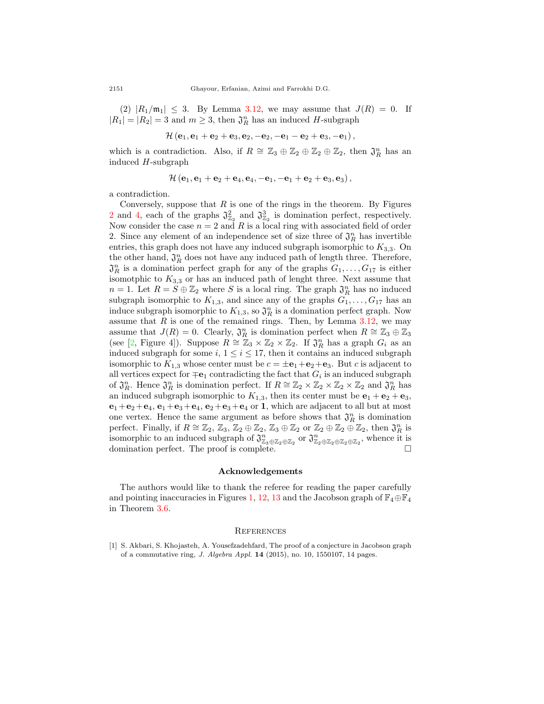$(2)$   $|R_1/m_1| \leq 3$ . By Lemma [3.12,](#page-13-0) we may assume that  $J(R) = 0$ . If  $|R_1| = |R_2| = 3$  and  $m \geq 3$ , then  $\mathfrak{J}_R^n$  has an induced *H*-subgraph

$$
\mathcal{H}\left(\mathbf{e}_1,\mathbf{e}_1+\mathbf{e}_2+\mathbf{e}_3,\mathbf{e}_2,-\mathbf{e}_2,-\mathbf{e}_1-\mathbf{e}_2+\mathbf{e}_3,-\mathbf{e}_1\right),
$$

which is a contradiction. Also, if  $R \cong \mathbb{Z}_3 \oplus \mathbb{Z}_2 \oplus \mathbb{Z}_2 \oplus \mathbb{Z}_2$ , then  $\mathfrak{J}_R^n$  has an induced *H*-subgraph

$$
\mathcal{H}\left(\mathbf{e}_1,\mathbf{e}_1+\mathbf{e}_2+\mathbf{e}_4,\mathbf{e}_4,-\mathbf{e}_1,-\mathbf{e}_1+\mathbf{e}_2+\mathbf{e}_3,\mathbf{e}_3\right),
$$

a contradiction.

Conversely, suppose that  $R$  is one of the rings in the theorem. By Figures [2](#page-5-1) and [4](#page-5-1), each of the graphs  $\mathfrak{J}_{\mathbb{Z}_2}^2$  and  $\mathfrak{J}_{\mathbb{Z}_2}^3$  is domination perfect, respectively. Now consider the case  $n = 2$  and R is a local ring with associated field of order 2. Since any element of an independence set of size three of  $\mathfrak{J}_R^n$  has invertible entries, this graph does not have any induced subgraph isomorphic to *K*3*,*3. On the other hand,  $\mathfrak{J}_R^n$  does not have any induced path of length three. Therefore,  $\mathfrak{J}_R^n$  is a domination perfect graph for any of the graphs  $G_1, \ldots, G_{17}$  is either isomotphic to  $K_{3,3}$  or has an induced path of lenght three. Next assume that  $n = 1$ . Let  $R = S \oplus \mathbb{Z}_2$  where *S* is a local ring. The graph  $\mathfrak{J}_R^n$  has no induced subgraph isomorphic to  $K_{1,3}$ , and since any of the graphs  $G_1, \ldots, G_{17}$  has an induce subgraph isomorphic to  $K_{1,3}$ , so  $\mathfrak{J}_R^n$  is a domination perfect graph. Now assume that  $R$  is one of the remained rings. Then, by Lemma  $3.12$ , we may assume that  $J(R) = 0$ . Clearly,  $\mathfrak{J}_R^n$  is domination perfect when  $R \cong \mathbb{Z}_3 \oplus \mathbb{Z}_3$ (see [\[2](#page-16-0), Figure 4]). Suppose  $R \cong \mathbb{Z}_3 \times \mathbb{Z}_2 \times \mathbb{Z}_2$ . If  $\mathfrak{J}_R^n$  has a graph  $G_i$  as an induced subgraph for some  $i, 1 \leq i \leq 17$ , then it contains an induced subgraph isomorphic to  $K_{1,3}$  whose center must be  $c = \pm \mathbf{e}_1 + \mathbf{e}_2 + \mathbf{e}_3$ . But *c* is adjacent to all vertices expect for  $\mp$ **e**<sub>1</sub> contradicting the fact that  $G_i$  is an induced subgraph of  $\mathfrak{J}_R^n$ . Hence  $\mathfrak{J}_R^n$  is domination perfect. If  $R \cong \mathbb{Z}_2 \times \mathbb{Z}_2 \times \mathbb{Z}_2 \times \mathbb{Z}_2$  and  $\mathfrak{J}_R^n$  has an induced subgraph isomorphic to  $K_{1,3}$ , then its center must be  $\mathbf{e}_1 + \mathbf{e}_2 + \mathbf{e}_3$ ,  $e_1 + e_2 + e_4$ ,  $e_1 + e_3 + e_4$ ,  $e_2 + e_3 + e_4$  or **1**, which are adjacent to all but at most one vertex. Hence the same argument as before shows that  $\mathfrak{J}_R^n$  is domination perfect. Finally, if  $R \cong \mathbb{Z}_2$ ,  $\mathbb{Z}_3$ ,  $\mathbb{Z}_2 \oplus \mathbb{Z}_2$ ,  $\mathbb{Z}_3 \oplus \mathbb{Z}_2$  or  $\mathbb{Z}_2 \oplus \mathbb{Z}_2 \oplus \mathbb{Z}_2$ , then  $\mathfrak{J}_R^n$  is isomorphic to an induced subgraph of  $\mathfrak{J}_{\mathbb{Z}_3 \oplus \mathbb{Z}_2 \oplus \mathbb{Z}_2}^n$  or  $\mathfrak{J}_{\mathbb{Z}_2 \oplus \mathbb{Z}_2 \oplus \mathbb{Z}_2}^n$ , whence it is domination perfect. The proof is complete.  $\Box$ 

#### **Acknowledgements**

The authors would like to thank the referee for reading the paper carefully and pointing inaccuracies in Figures [1](#page-5-0), [12](#page-10-1), [13](#page-10-2) and the Jacobson graph of  $\mathbb{F}_4 \oplus \mathbb{F}_4$ in Theorem [3.6](#page-6-0).

#### **REFERENCES**

<span id="page-15-0"></span><sup>[1]</sup> S. Akbari, S. Khojasteh, A. Yousefzadehfard, The proof of a conjecture in Jacobson graph of a commutative ring, *J. Algebra Appl.* **14** (2015), no. 10, 1550107, 14 pages.